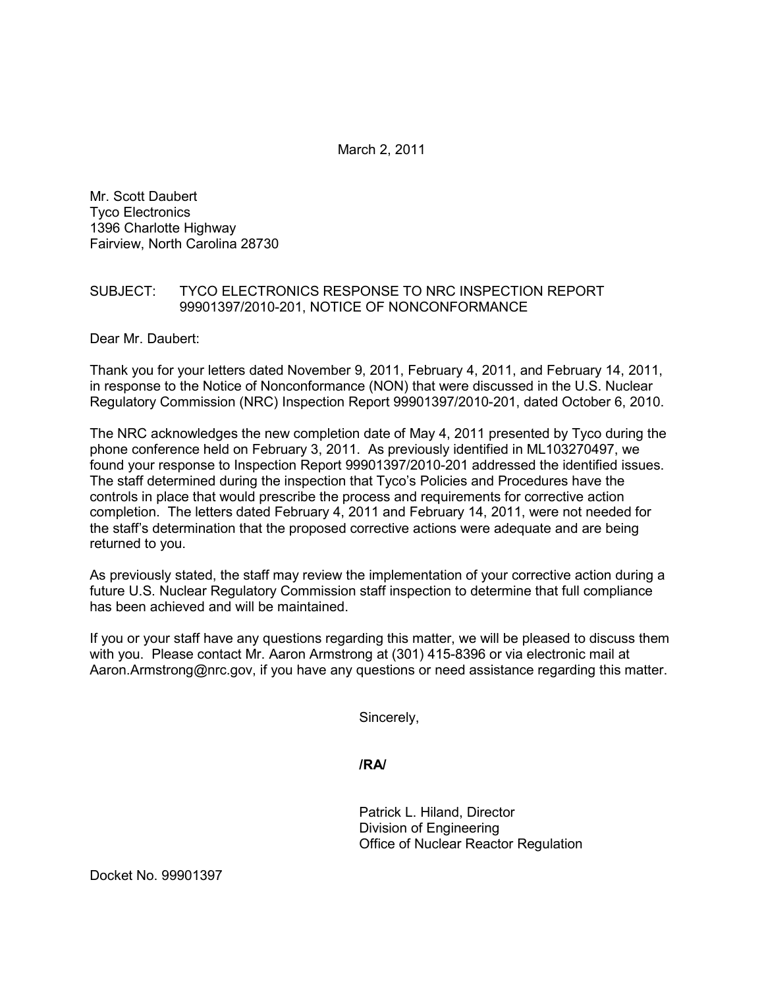March 2, 2011

Mr. Scott Daubert Tyco Electronics 1396 Charlotte Highway Fairview, North Carolina 28730

## SUBJECT: TYCO ELECTRONICS RESPONSE TO NRC INSPECTION REPORT 99901397/2010-201, NOTICE OF NONCONFORMANCE

Dear Mr. Daubert:

Thank you for your letters dated November 9, 2011, February 4, 2011, and February 14, 2011, in response to the Notice of Nonconformance (NON) that were discussed in the U.S. Nuclear Regulatory Commission (NRC) Inspection Report 99901397/2010-201, dated October 6, 2010.

The NRC acknowledges the new completion date of May 4, 2011 presented by Tyco during the phone conference held on February 3, 2011. As previously identified in ML103270497, we found your response to Inspection Report 99901397/2010-201 addressed the identified issues. The staff determined during the inspection that Tyco's Policies and Procedures have the controls in place that would prescribe the process and requirements for corrective action completion. The letters dated February 4, 2011 and February 14, 2011, were not needed for the staff's determination that the proposed corrective actions were adequate and are being returned to you.

As previously stated, the staff may review the implementation of your corrective action during a future U.S. Nuclear Regulatory Commission staff inspection to determine that full compliance has been achieved and will be maintained.

If you or your staff have any questions regarding this matter, we will be pleased to discuss them with you. Please contact Mr. Aaron Armstrong at (301) 415-8396 or via electronic mail at Aaron.Armstrong@nrc.gov, if you have any questions or need assistance regarding this matter.

Sincerely,

**/RA/** 

Patrick L. Hiland, Director Division of Engineering Office of Nuclear Reactor Regulation

Docket No. 99901397